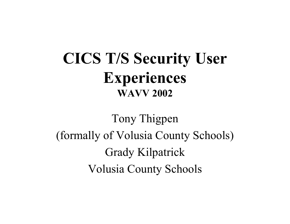#### **CICS T/S Security User Experiences WAVV 2002**

Tony Thigpen (formally of Volusia County Schools) Grady Kilpatrick Volusia County Schools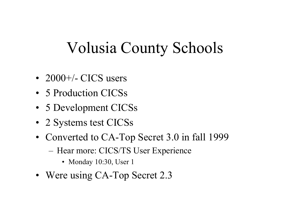### Volusia County Schools

- 2000+/- CICS users
- 5 Production CICSs
- 5 Development CICSs
- 2 Systems test CICSs
- Converted to CA-Top Secret 3.0 in fall 1999
	- Hear more: CICS/TS User Experience
		- Monday 10:30, User 1
- Were using CA-Top Secret 2.3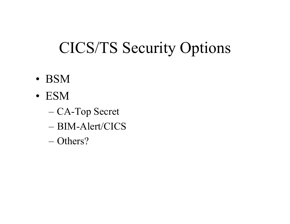## CICS/TS Security Options

- B S M
- ESM
	- CA-Top Secret
	- –BIM-Alert/CICS
	- Others?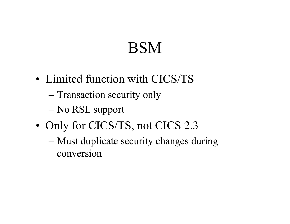## **BSM**

- Limited function with CICS/TS
	- Transaction security only
	- No RSL support
- Only for CICS/TS, not CICS 2.3
	- Must duplicate security changes during conversion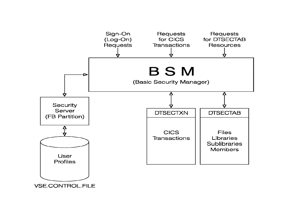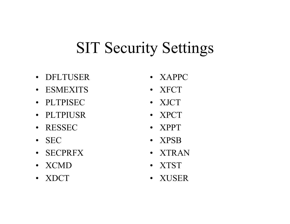## SIT Security Settings

- •DFLTUSER
- ESMEXITS
- •PLTPISEC
- PLTPIUSR
- RESSEC
- SEC
- SECPRFX
- XCMD
- XDCT
- XAPPC
- XFCT
- XJCT
- XPCT
- •XPPT
- XPSB
- •XTRAN
- XTST
- XUS E R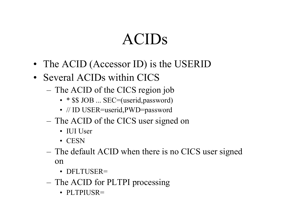## ACIDs

- The ACID (Accessor ID) is the USERID
- Several ACIDs within CICS
	- – The ACID of the CICS region job
		- \* \$\$ JOB ... SEC=(userid, password)
		- // ID USER=userid, PWD=password
	- – The ACID of the CICS user signed on
		- IUI User
		- CESN
	- – The default ACID when there is no CICS user signed on
		- DFLTUSER=
	- – The ACID for PLTPI processing
		- PLTPIUSR=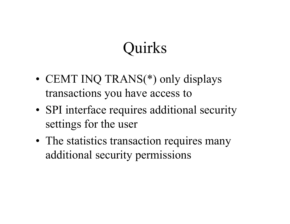## Quirks

- CEMT INQ TRANS(\*) only displays transactions you have access to
- SPI interface requires additional security settings for the user
- The statistics transaction requires many additional security permissions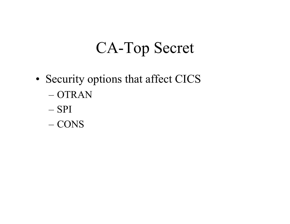## CA-Top Secret

- •• Security options that affect CICS – O T RAN
	- SPI
	- CONS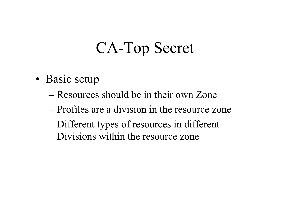## CA-Top Secret

- •• Basic setup
	- –Resources should be in their own Zone
	- –Profiles are a division in the resource zone
	- Different types of resources in different Divisions within the resource zone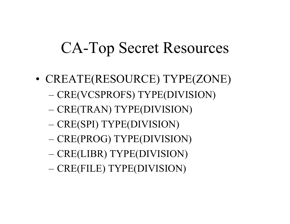- CRE(FILE) TYPE(DIVISION)
- CRE(LIBR) TYPE(DIVISION)
- CRE(PROG) TYPE(DIVISION)
- CRE(SPI) TYPE(DIVISION)
- CRE(TRAN) TYPE(DIVISION)
- CRE(VCSPROFS) TYPE(DIVISION)
- •CREATE(RES OURCE) TYPE(ZONE)

### CA-Top Secret Resources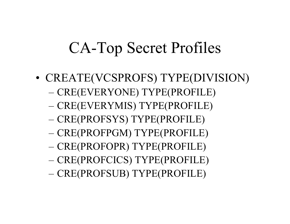- CRE(PROFSUB) TYPE(PROFILE)
- CRE(PROFCICS) TYPE(PROFILE)
- CRE(PROFOPR) TYPE(PROFILE)
- CRE(PROFPGM) TYPE(PROFILE)
- CRE(PROFSYS) TYPE(PROFILE)
- CRE(EVERYMIS) TYPE(PROFILE)
- CRE(EVERYONE) TYPE(PROFILE)
- •• CREATE(VCSPROFS) TYPE(DIVISION)

### CA-Top Secret Profiles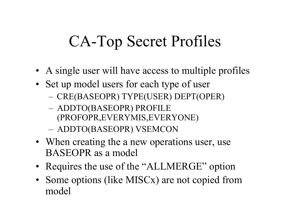# CA-Top Secret Profiles

- A single user will have access to multiple profiles
- Set up model users for each type of user
	- –– CRE(BASEOPR) TYPE(USER) DEPT(OPER)
	- ADDTO(BASEOPR) PROFILE (PROFOPR,EVERYMIS,EVERYONE)
	- ADDTO(BASEOPR) VSEMCON
- When creating the a new operations user, use BASEOPR as a model
- Requires the use of the "ALLMERGE" option
- Some options (like MISCx) are not copied from model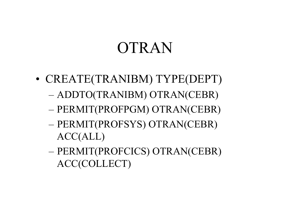## OTRAN

- CREATE(TRANIBM) TYPE(DEPT)
	- ADDTO(TRANIBM) OTRAN(CEBR)
	- PERMIT(PROFPGM) OTRAN(CEBR)
	- PERMIT(PROFSYS) OTRAN(CEBR) ACC(ALL)
	- PERMIT(PROFCICS) OTRAN(CEBR) ACC(COLLECT)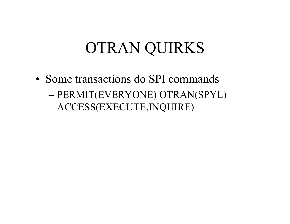## OTRAN QUIRKS

• Some transactions do SPI commands – PERMIT(EVERYONE) OTRAN(SPYL) ACCESS(EXECUTE,INQUIRE)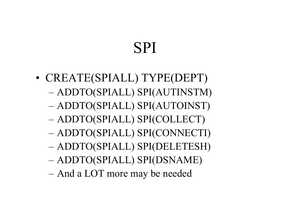# SPI

• CREATE(SPIALL) TYPE(DEPT) ADDTO(SPIALL) SPI(AUTINSTM) ADDTO(SPIALL) SPI(AUTOINST) ADDTO(SPIALL) SPI(COLLECT) ADDTO(SPIALL) SPI(CONNECTI) ADDTO(SPIALL) SPI(DELETESH) ADDTO(SPIALL) SPI(DSNAME) And a LOT more may be needed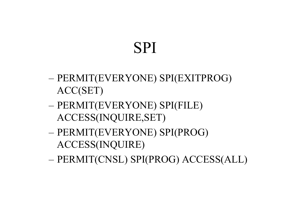- PERMIT(CNSL) SPI(PROG) ACCESS(ALL)
- PERMIT(EVERYONE) SPI(PROG) ACCESS(INQUIRE)
- PERMIT(EVERYONE) SPI(FILE) ACCESS(INQUIRE,SET)
- PERMIT(EVERYONE) SPI(EXITPROG) ACC(SET)

## SPI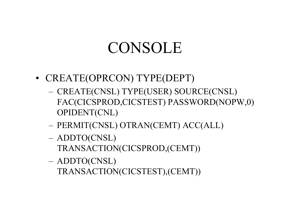### CONSOLE

- CREATE(OPRCON) TYPE(DEPT)
	- –– CREATE(CNSL) TYPE(USER) SOURCE(CNSL) FAC(CICSPROD,CICSTEST) PASSWORD(NOPW,0) OPIDENT(CNL)
	- –PERMIT(CNSL) OTRAN(CEMT) ACC(ALL)
	- –ADDTO(CNSL)

ADDTO(CNSL)

–

TRANSACTION(CICSTEST),(CEMT))

- TRANSACTION(CICSPROD,(CEMT))
- 
- 
- 
- 
-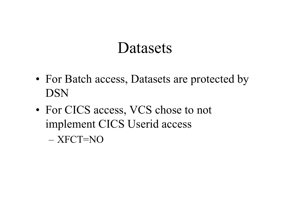#### **Datasets**

- For Batch access, Datasets are protected by DSN
- For CICS access, VCS chose to not implement CICS Userid access
	- XFCT=NO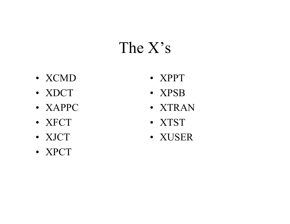### The X's

- XCMD
- XDCT
- XAPPC
- XFCT
- XJCT
- XPCT
- XPPT
- XPSB
- XTRAN
- XTST
- XUSER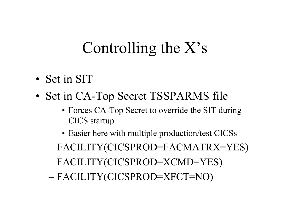## Controlling the X's

- Set in SIT
- •• Set in CA-Top Secret TSSPARMS file
	- Forces CA-Top Secret to override the SIT during CICS startup
	- Easier here with multiple production/test CICSs
	- FACILITY(CICSPROD=FACMATRX=YES)
	- FACILITY(CICSPROD=XCMD=YES)
	- FACILITY(CICSPROD=XFCT=NO)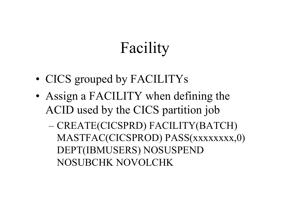# Facility

- CICS grouped by FACILITYs
- Assign a FACILITY when defining the ACID used by the CICS partition job
	- CREATE(CICSPRD) FACILITY(BATCH) MASTFAC(CICSPROD) PASS(xxxxxxxx,0) DEPT(IBMUSERS) NOSUSPEND NOSUBCHK NOVOLCHK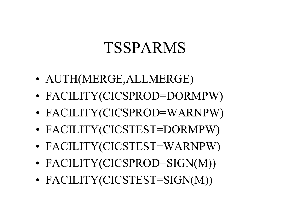- •FACILITY(CICSTEST=SIGN(M))
- •• FACILITY(CICSPROD=SIGN(M))
- •FACILITY(CICSTEST=WARNPW)
- •FACILITY(CICSTEST=DORMPW)
- •FACILITY(CICSPROD=WARNPW)
- •• FACILITY(CICSPROD=DORMPW)
- •AUTH(MERGE,ALLMERGE)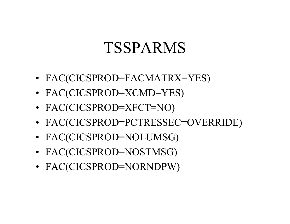- FAC(CICSPROD=NORNDPW)
- FAC(CICSPROD=NOSTMSG)
- FAC(CICSPROD=NOLUMSG)
- FAC(CICSPROD=PCTRESSEC=OVERRIDE)
- FAC(CICSPROD=XFCT=NO)
- FAC(CICSPROD=XCMD=YES)
- FAC(CICSPROD=FACMATRX=YES)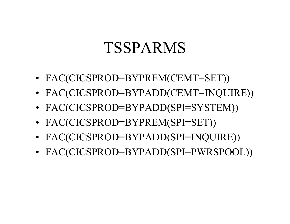- FAC(CICSPROD=BYPADD(SPI=PWRSPOOL))
- FAC(CICSPROD=BYPADD(SPI=INQUIRE))
- FAC(CICSPROD=BYPREM(SPI=SET))
- FAC(CICSPROD=BYPADD(SPI=SYSTEM))
- FAC(CICSPROD=BYPADD(CEMT=INQUIRE))
- FAC(CICSPROD=BYPREM(CEMT=SET))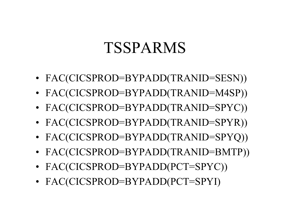- FAC(CICSPROD=BYPADD(PCT=SPYI)
- FAC(CICSPROD=BYPADD(PCT=SPYC))
- FAC(CICSPROD=BYPADD(TRANID=BMTP))
- FAC(CICSPROD=BYPADD(TRANID=SPYQ))
- FAC(CICSPROD=BYPADD(TRANID=SPYR))
- FAC(CICSPROD=BYPADD(TRANID=SPYC))
- FAC(CICSPROD=BYPADD(TRANID=M4SP))
- FAC(CICSPROD=BYPADD(TRANID=SESN))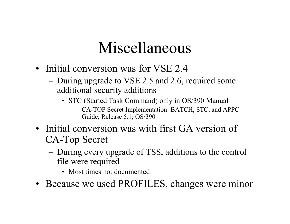## Miscellaneous

- Initial conversion was for VSE 2.4
	- During upgrade to VSE 2.5 and 2.6, required some additional security additions
		- STC (Started Task Command) only in OS/390 Manual
			- CA-TOP Secret Implementation: BATCH, STC, and APPC Guide; Release 5.1; OS/390
- Initial conversion was with first GA version of CA-Top Secret
	- During every upgrade of TSS, additions to the control file were required
		- Most times not documented
- Because we used PROFILES, changes were minor